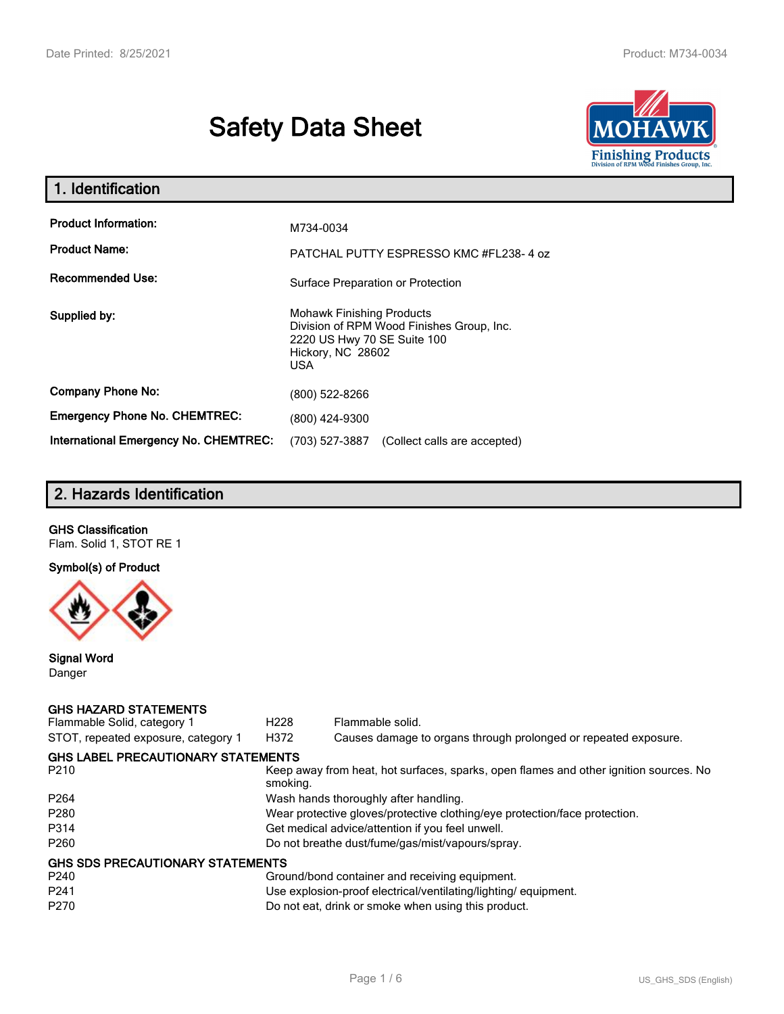# **Safety Data Sheet**



| 1. Identification                                   |                                                                                                                                           |
|-----------------------------------------------------|-------------------------------------------------------------------------------------------------------------------------------------------|
| <b>Product Information:</b><br><b>Product Name:</b> | M734-0034<br>PATCHAL PUTTY ESPRESSO KMC #FL238-4 oz                                                                                       |
| <b>Recommended Use:</b>                             | Surface Preparation or Protection                                                                                                         |
| Supplied by:                                        | <b>Mohawk Finishing Products</b><br>Division of RPM Wood Finishes Group, Inc.<br>2220 US Hwy 70 SE Suite 100<br>Hickory, NC 28602<br>USA. |
| <b>Company Phone No:</b>                            | (800) 522-8266                                                                                                                            |
| <b>Emergency Phone No. CHEMTREC:</b>                | (800) 424-9300                                                                                                                            |
| <b>International Emergency No. CHEMTREC:</b>        | (703) 527-3887<br>(Collect calls are accepted)                                                                                            |

# **2. Hazards Identification**

# **GHS Classification**

Flam. Solid 1, STOT RE 1

## **Symbol(s) of Product**



### **Signal Word** Danger

### **GHS HAZARD STATEMENTS**

| Flammable Solid, category 1               | H <sub>228</sub>                                                           | Flammable solid.                                                                      |  |  |
|-------------------------------------------|----------------------------------------------------------------------------|---------------------------------------------------------------------------------------|--|--|
| STOT, repeated exposure, category 1       | H372                                                                       | Causes damage to organs through prolonged or repeated exposure.                       |  |  |
| <b>GHS LABEL PRECAUTIONARY STATEMENTS</b> |                                                                            |                                                                                       |  |  |
| P <sub>210</sub>                          | smoking.                                                                   | Keep away from heat, hot surfaces, sparks, open flames and other ignition sources. No |  |  |
| P <sub>264</sub>                          |                                                                            | Wash hands thoroughly after handling.                                                 |  |  |
| P <sub>280</sub>                          | Wear protective gloves/protective clothing/eye protection/face protection. |                                                                                       |  |  |
| P314                                      | Get medical advice/attention if you feel unwell.                           |                                                                                       |  |  |
| P <sub>260</sub>                          | Do not breathe dust/fume/gas/mist/vapours/spray.                           |                                                                                       |  |  |
| <b>GHS SDS PRECAUTIONARY STATEMENTS</b>   |                                                                            |                                                                                       |  |  |
| P <sub>240</sub>                          |                                                                            | Ground/bond container and receiving equipment.                                        |  |  |
| P <sub>241</sub>                          |                                                                            | Use explosion-proof electrical/ventilating/lighting/equipment.                        |  |  |
| P <sub>270</sub>                          |                                                                            | Do not eat, drink or smoke when using this product.                                   |  |  |
|                                           |                                                                            |                                                                                       |  |  |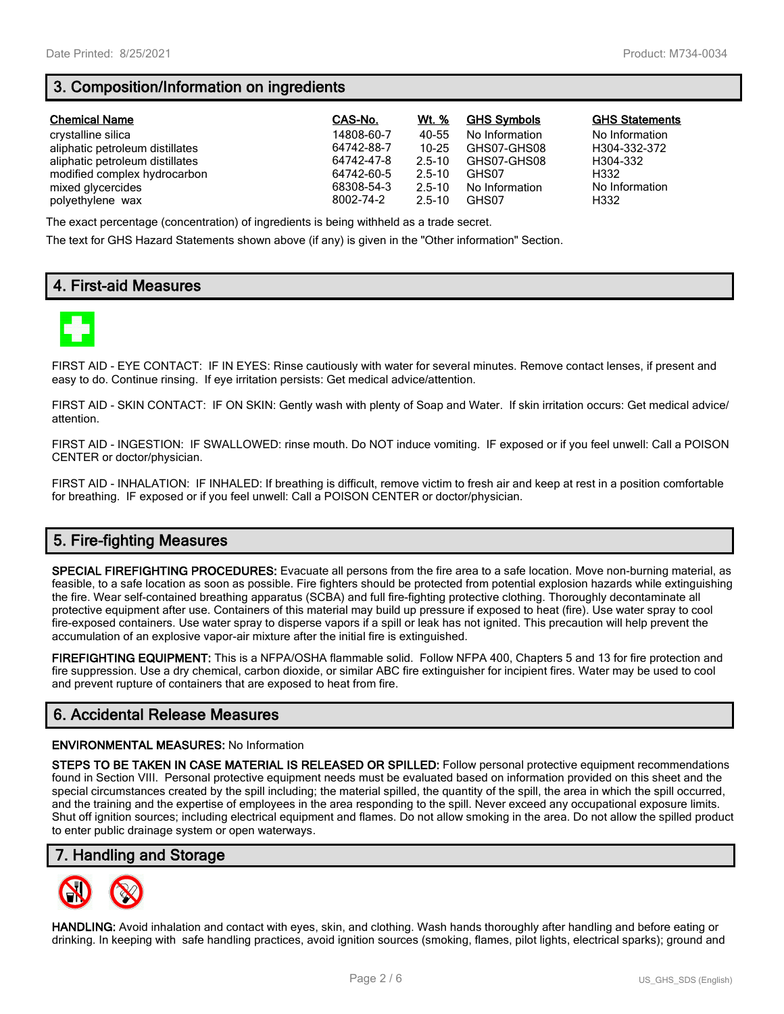# **3. Composition/Information on ingredients**

| <b>Chemical Name</b>            | CAS-No.    | Wt. %      | <b>GHS Symbols</b> | <b>GHS Statements</b> |
|---------------------------------|------------|------------|--------------------|-----------------------|
| crystalline silica              | 14808-60-7 | 40-55      | No Information     | No Information        |
| aliphatic petroleum distillates | 64742-88-7 | $10 - 25$  | GHS07-GHS08        | H304-332-372          |
| aliphatic petroleum distillates | 64742-47-8 | $2.5 - 10$ | GHS07-GHS08        | H304-332              |
| modified complex hydrocarbon    | 64742-60-5 | $2.5 - 10$ | GHS07              | H332                  |
| mixed glycercides               | 68308-54-3 | $2.5 - 10$ | No Information     | No Information        |
| polyethylene wax                | 8002-74-2  | $2.5 - 10$ | GHS07              | H332                  |

The exact percentage (concentration) of ingredients is being withheld as a trade secret.

The text for GHS Hazard Statements shown above (if any) is given in the "Other information" Section.

# **4. First-aid Measures**



FIRST AID - EYE CONTACT: IF IN EYES: Rinse cautiously with water for several minutes. Remove contact lenses, if present and easy to do. Continue rinsing. If eye irritation persists: Get medical advice/attention.

FIRST AID - SKIN CONTACT: IF ON SKIN: Gently wash with plenty of Soap and Water. If skin irritation occurs: Get medical advice/ attention.

FIRST AID - INGESTION: IF SWALLOWED: rinse mouth. Do NOT induce vomiting. IF exposed or if you feel unwell: Call a POISON CENTER or doctor/physician.

FIRST AID - INHALATION: IF INHALED: If breathing is difficult, remove victim to fresh air and keep at rest in a position comfortable for breathing. IF exposed or if you feel unwell: Call a POISON CENTER or doctor/physician.

# **5. Fire-fighting Measures**

**SPECIAL FIREFIGHTING PROCEDURES:** Evacuate all persons from the fire area to a safe location. Move non-burning material, as feasible, to a safe location as soon as possible. Fire fighters should be protected from potential explosion hazards while extinguishing the fire. Wear self-contained breathing apparatus (SCBA) and full fire-fighting protective clothing. Thoroughly decontaminate all protective equipment after use. Containers of this material may build up pressure if exposed to heat (fire). Use water spray to cool fire-exposed containers. Use water spray to disperse vapors if a spill or leak has not ignited. This precaution will help prevent the accumulation of an explosive vapor-air mixture after the initial fire is extinguished.

**FIREFIGHTING EQUIPMENT:** This is a NFPA/OSHA flammable solid. Follow NFPA 400, Chapters 5 and 13 for fire protection and fire suppression. Use a dry chemical, carbon dioxide, or similar ABC fire extinguisher for incipient fires. Water may be used to cool and prevent rupture of containers that are exposed to heat from fire.

## **6. Accidental Release Measures**

#### **ENVIRONMENTAL MEASURES:** No Information

**STEPS TO BE TAKEN IN CASE MATERIAL IS RELEASED OR SPILLED:** Follow personal protective equipment recommendations found in Section VIII. Personal protective equipment needs must be evaluated based on information provided on this sheet and the special circumstances created by the spill including; the material spilled, the quantity of the spill, the area in which the spill occurred, and the training and the expertise of employees in the area responding to the spill. Never exceed any occupational exposure limits. Shut off ignition sources; including electrical equipment and flames. Do not allow smoking in the area. Do not allow the spilled product to enter public drainage system or open waterways.

## **7. Handling and Storage**



**HANDLING:** Avoid inhalation and contact with eyes, skin, and clothing. Wash hands thoroughly after handling and before eating or drinking. In keeping with safe handling practices, avoid ignition sources (smoking, flames, pilot lights, electrical sparks); ground and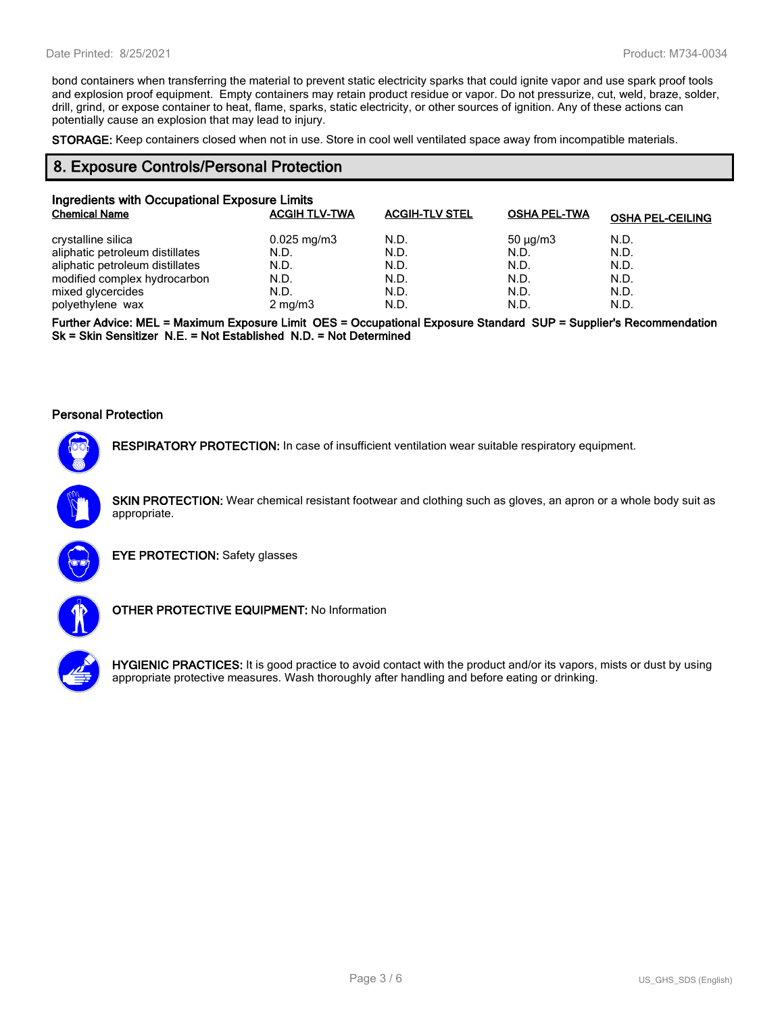bond containers when transferring the material to prevent static electricity sparks that could ignite vapor and use spark proof tools and explosion proof equipment. Empty containers may retain product residue or vapor. Do not pressurize, cut, weld, braze, solder, drill, grind, or expose container to heat, flame, sparks, static electricity, or other sources of ignition. Any of these actions can potentially cause an explosion that may lead to injury.

**STORAGE:** Keep containers closed when not in use. Store in cool well ventilated space away from incompatible materials.

## **8. Exposure Controls/Personal Protection**

| Ingredients with Occupational Exposure Limits |                         |                       |                     |                         |  |  |
|-----------------------------------------------|-------------------------|-----------------------|---------------------|-------------------------|--|--|
| <b>Chemical Name</b>                          | <b>ACGIH TLV-TWA</b>    | <b>ACGIH-TLV STEL</b> | <b>OSHA PEL-TWA</b> | <b>OSHA PEL-CEILING</b> |  |  |
| crystalline silica                            | $0.025 \,\mathrm{mg/m}$ | N.D.                  | $50 \mu q/m3$       | N.D.                    |  |  |
| aliphatic petroleum distillates               | N.D.                    | N.D.                  | N.D.                | N.D.                    |  |  |
| aliphatic petroleum distillates               | N.D.                    | N.D.                  | N.D.                | N.D.                    |  |  |
| modified complex hydrocarbon                  | N.D.                    | N.D.                  | N.D.                | N.D.                    |  |  |
| mixed glycercides                             | N.D.                    | N.D.                  | N.D.                | N.D.                    |  |  |
| polyethylene wax                              | $2$ mg/m $3$            | N.D.                  | N.D.                | N.D.                    |  |  |

**Further Advice: MEL = Maximum Exposure Limit OES = Occupational Exposure Standard SUP = Supplier's Recommendation Sk = Skin Sensitizer N.E. = Not Established N.D. = Not Determined**

#### **Personal Protection**



**RESPIRATORY PROTECTION:** In case of insufficient ventilation wear suitable respiratory equipment.

**SKIN PROTECTION:** Wear chemical resistant footwear and clothing such as gloves, an apron or a whole body suit as appropriate.



**EYE PROTECTION:** Safety glasses



**OTHER PROTECTIVE EQUIPMENT:** No Information



**HYGIENIC PRACTICES:** It is good practice to avoid contact with the product and/or its vapors, mists or dust by using appropriate protective measures. Wash thoroughly after handling and before eating or drinking.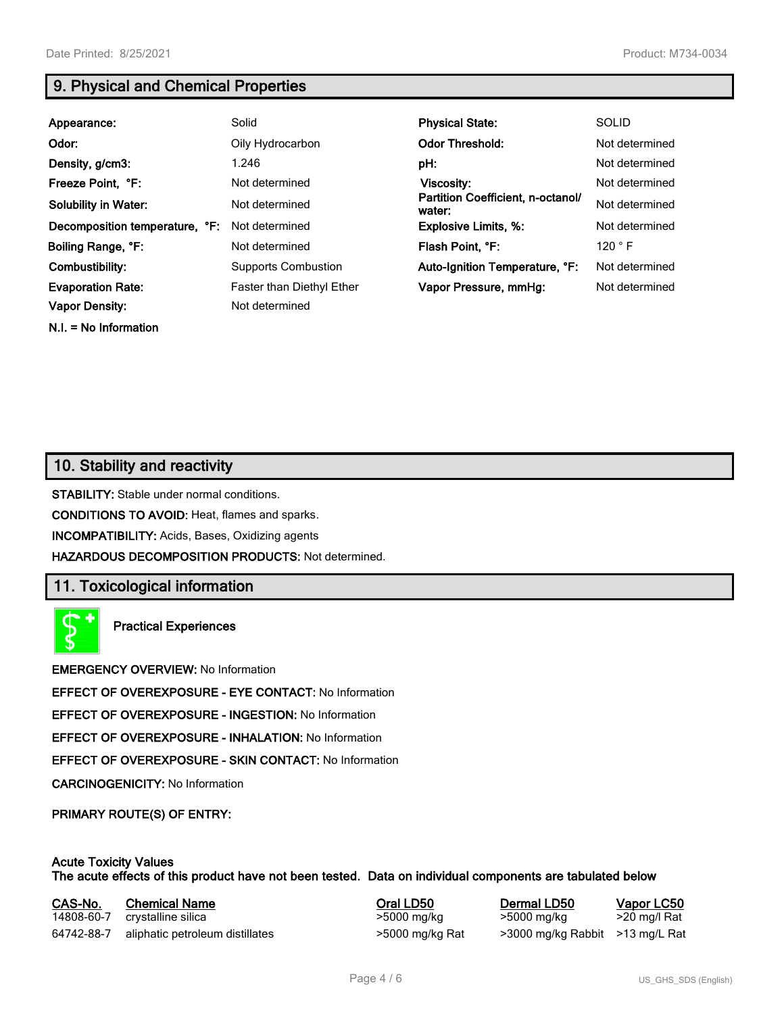**N.I. = No Information**

# **9. Physical and Chemical Properties**

| Solid                                       | <b>Physical State:</b>         | <b>SOLID</b>                      |
|---------------------------------------------|--------------------------------|-----------------------------------|
| Oily Hydrocarbon                            | <b>Odor Threshold:</b>         | Not determined                    |
| 1.246                                       | pH:                            | Not determined                    |
| Not determined                              | Viscosity:                     | Not determined                    |
| Not determined                              | water:                         | Not determined                    |
| Not determined                              | <b>Explosive Limits, %:</b>    | Not determined                    |
| Not determined                              | Flash Point, °F:               | 120 °F                            |
| <b>Supports Combustion</b>                  | Auto-Ignition Temperature, °F: | Not determined                    |
| Faster than Diethyl Ether<br>Not determined | Vapor Pressure, mmHq:          | Not determined                    |
|                                             |                                | Partition Coefficient, n-octanol/ |

# **10. Stability and reactivity**

**STABILITY:** Stable under normal conditions.

**CONDITIONS TO AVOID:** Heat, flames and sparks.

**INCOMPATIBILITY:** Acids, Bases, Oxidizing agents

**HAZARDOUS DECOMPOSITION PRODUCTS:** Not determined.

## **11. Toxicological information**

**Practical Experiences**

**EMERGENCY OVERVIEW:** No Information

**EFFECT OF OVEREXPOSURE - EYE CONTACT:** No Information

**EFFECT OF OVEREXPOSURE - INGESTION:** No Information

**EFFECT OF OVEREXPOSURE - INHALATION:** No Information

**EFFECT OF OVEREXPOSURE - SKIN CONTACT:** No Information

**CARCINOGENICITY:** No Information

**PRIMARY ROUTE(S) OF ENTRY:**

#### **Acute Toxicity Values The acute effects of this product have not been tested. Data on individual components are tabulated below**

| CAS-No.    | <b>Chemical Name</b>            | Oral LD50       | Dermal LD50                     | Vapor LC50   |
|------------|---------------------------------|-----------------|---------------------------------|--------------|
| 14808-60-7 | crystalline silica              | >5000 mg/kg     | >5000 mg/kg                     | >20 mg/l Rat |
| 64742-88-7 | aliphatic petroleum distillates | >5000 mg/kg Rat | >3000 mg/kg Rabbit >13 mg/L Rat |              |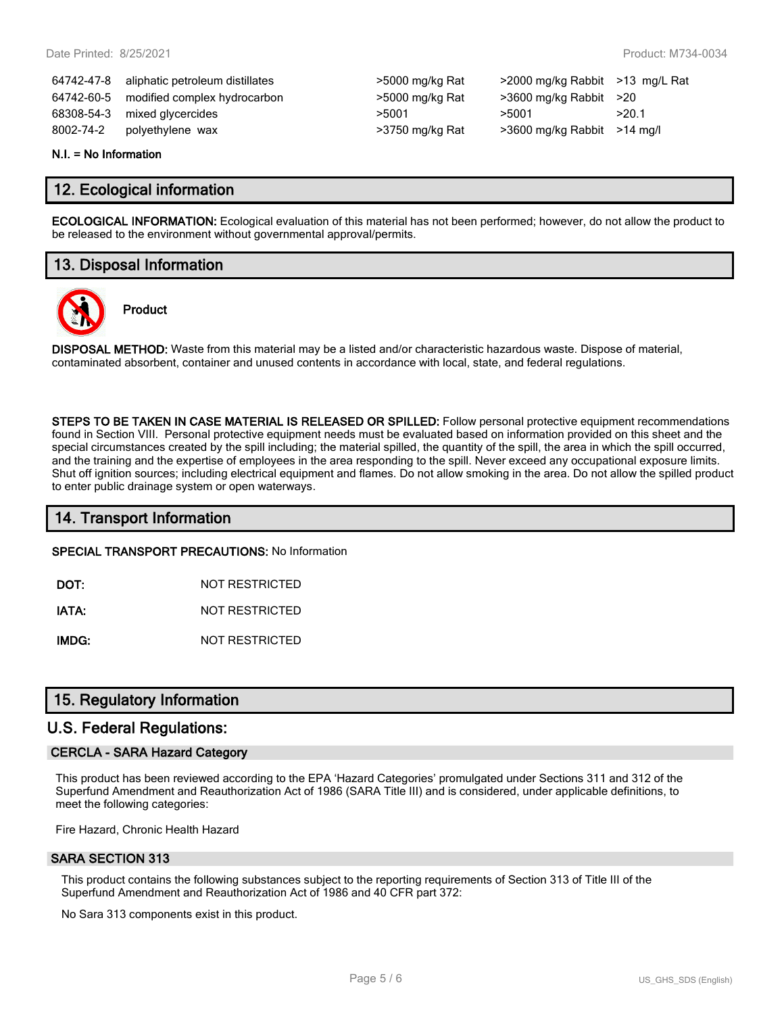|            | 64742-47-8 aliphatic petroleum distillates | >5000 mg/kg Rat | $>$ 2000 mg/kg Rabbit $>$ 13 m |       |
|------------|--------------------------------------------|-----------------|--------------------------------|-------|
| 64742-60-5 | modified complex hydrocarbon               | >5000 mg/kg Rat | $>3600$ mg/kg Rabbit $>20$     |       |
|            | 68308-54-3 mixed glycercides               | >5001           | >5001                          | >20.1 |
| 8002-74-2  | polyethylene wax                           | >3750 mg/kg Rat | $>3600$ mg/kg Rabbit $>14$ m   |       |

| >5000 mg/kg Rat |
|-----------------|
| >5000 mg/kg Rat |
| >5001           |
| >3750 mg/kg Rat |

64742-47-8 aliphatic petroleum distillates >5000 mg/kg Rat >2000 mg/kg Rabbit >13 mg/L Rat  $>3600$  mg/kg Rabbit  $>20$ >3600 mg/kg Rabbit >14 mg/l

#### **N.I. = No Information**

## **12. Ecological information**

**ECOLOGICAL INFORMATION:** Ecological evaluation of this material has not been performed; however, do not allow the product to be released to the environment without governmental approval/permits.

# **13. Disposal Information**

**Product**



**DISPOSAL METHOD:** Waste from this material may be a listed and/or characteristic hazardous waste. Dispose of material, contaminated absorbent, container and unused contents in accordance with local, state, and federal regulations.

**STEPS TO BE TAKEN IN CASE MATERIAL IS RELEASED OR SPILLED:** Follow personal protective equipment recommendations found in Section VIII. Personal protective equipment needs must be evaluated based on information provided on this sheet and the special circumstances created by the spill including; the material spilled, the quantity of the spill, the area in which the spill occurred, and the training and the expertise of employees in the area responding to the spill. Never exceed any occupational exposure limits. Shut off ignition sources; including electrical equipment and flames. Do not allow smoking in the area. Do not allow the spilled product to enter public drainage system or open waterways.

## **14. Transport Information**

**SPECIAL TRANSPORT PRECAUTIONS:** No Information

**DOT:** NOT RESTRICTED

**IATA:** NOT RESTRICTED

**IMDG:** NOT RESTRICTED

## **15. Regulatory Information**

## **U.S. Federal Regulations:**

### **CERCLA - SARA Hazard Category**

This product has been reviewed according to the EPA 'Hazard Categories' promulgated under Sections 311 and 312 of the Superfund Amendment and Reauthorization Act of 1986 (SARA Title III) and is considered, under applicable definitions, to meet the following categories:

Fire Hazard, Chronic Health Hazard

### **SARA SECTION 313**

This product contains the following substances subject to the reporting requirements of Section 313 of Title III of the Superfund Amendment and Reauthorization Act of 1986 and 40 CFR part 372:

No Sara 313 components exist in this product.